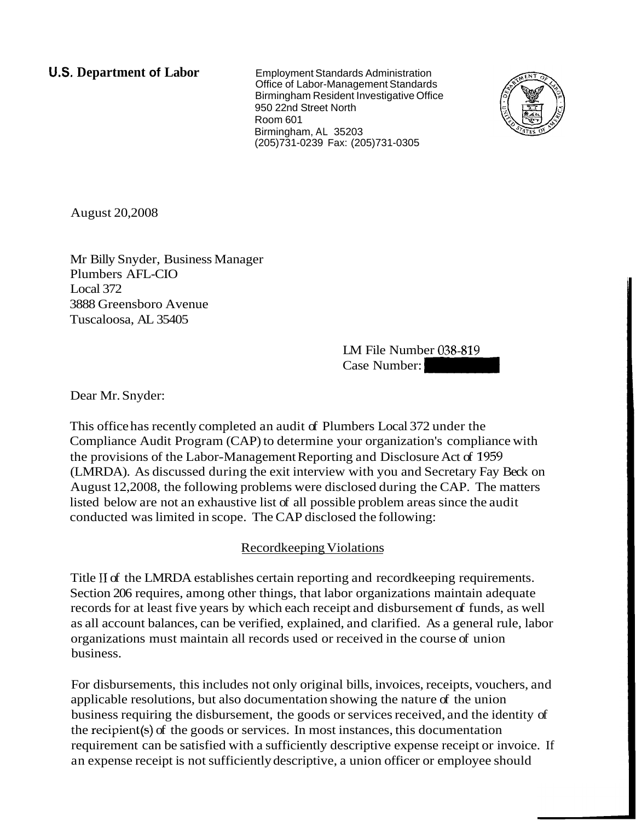**U.S. Department of Labor Employment Standards Administration** 

Office of Labor-Management Standards Birmingham Resident Investigative Office 950 22nd Street North Room 601 Birmingham, AL 35203 (205)731-0239 Fax: (205)731-0305



August 20,2008

Mr Billy Snyder, Business Manager Plumbers AFL-CIO Local 372 3888 Greensboro Avenue Tuscaloosa, AL 35405

LM File Number 038-819 LM File Number 038-819<br>Case Number: -

Dear Mr. Snyder:

This office has recently completed an audit of Plumbers Local 372 under the Compliance Audit Program (CAP) to determine your organization's compliance with the provisions of the Labor-Management Reporting and Disclosure Act of 1959 (LMRDA). As discussed during the exit interview with you and Secretary Fay Beck on August 12,2008, the following problems were disclosed during the CAP. The matters listed below are not an exhaustive list of all possible problem areas since the audit conducted was limited in scope. The CAP disclosed the following:

# Recordkeeping Violations

Title I1 of the LMRDA establishes certain reporting and recordkeeping requirements. Section 206 requires, among other things, that labor organizations maintain adequate records for at least five years by which each receipt and disbursement of funds, as well as all account balances, can be verified, explained, and clarified. As a general rule, labor organizations must maintain all records used or received in the course of union business.

For disbursements, this includes not only original bills, invoices, receipts, vouchers, and applicable resolutions, but also documentation showing the nature of the union business requiring the disbursement, the goods or services received, and the identity of the recipient(s) of the goods or services. In most instances, this documentation requirement can be satisfied with a sufficiently descriptive expense receipt or invoice. If an expense receipt is not sufficiently descriptive, a union officer or employee should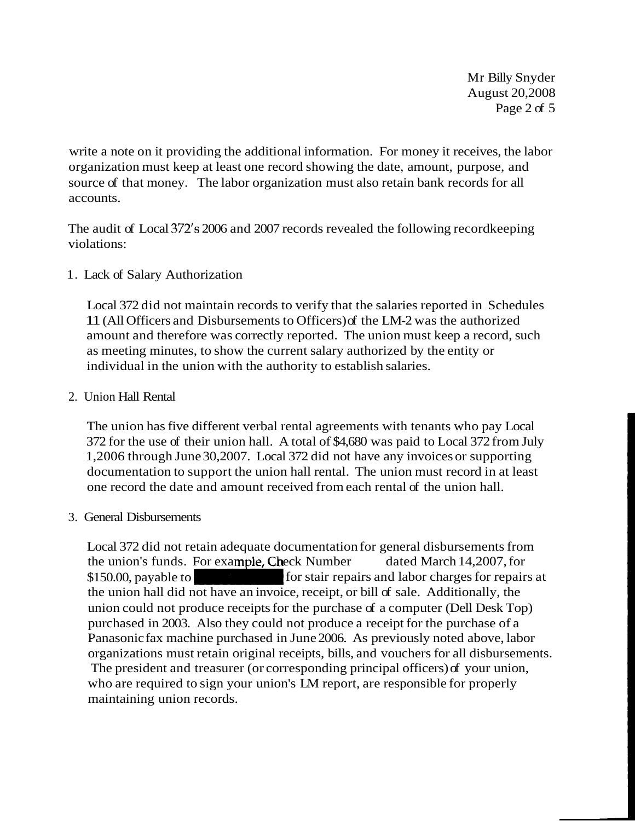Mr Billy Snyder August 20,2008 Page 2 of 5

write a note on it providing the additional information. For money it receives, the labor organization must keep at least one record showing the date, amount, purpose, and source of that money. The labor organization must also retain bank records for all accounts.

The audit of Local 372's 2006 and 2007 records revealed the following recordkeeping violations:

1. Lack of Salary Authorization

Local 372 did not maintain records to verify that the salaries reported in Schedules 11 (All Officers and Disbursements to Officers) of the LM-2 was the authorized amount and therefore was correctly reported. The union must keep a record, such as meeting minutes, to show the current salary authorized by the entity or individual in the union with the authority to establish salaries.

### 2. Union Hall Rental

The union has five different verbal rental agreements with tenants who pay Local 372 for the use of their union hall. A total of \$4,680 was paid to Local 372 from July 1,2006 through June 30,2007. Local 372 did not have any invoices or supporting documentation to support the union hall rental. The union must record in at least one record the date and amount received from each rental of the union hall.

# 3. General Disbursements

Local 372 did not retain adequate documentation for general disbursements from the union's funds. For example, Check Number dated March 14,2007, for \$150.00, payable to for stair repairs and labor charges for repairs at the union hall did not have an invoice, receipt, or bill of sale. Additionally, the union could not produce receipts for the purchase of a computer (Dell Desk Top) purchased in 2003. Also they could not produce a receipt for the purchase of a Panasonic fax machine purchased in June 2006. As previously noted above, labor organizations must retain original receipts, bills, and vouchers for all disbursements. The president and treasurer (or corresponding principal officers) of your union, who are required to sign your union's LM report, are responsible for properly maintaining union records.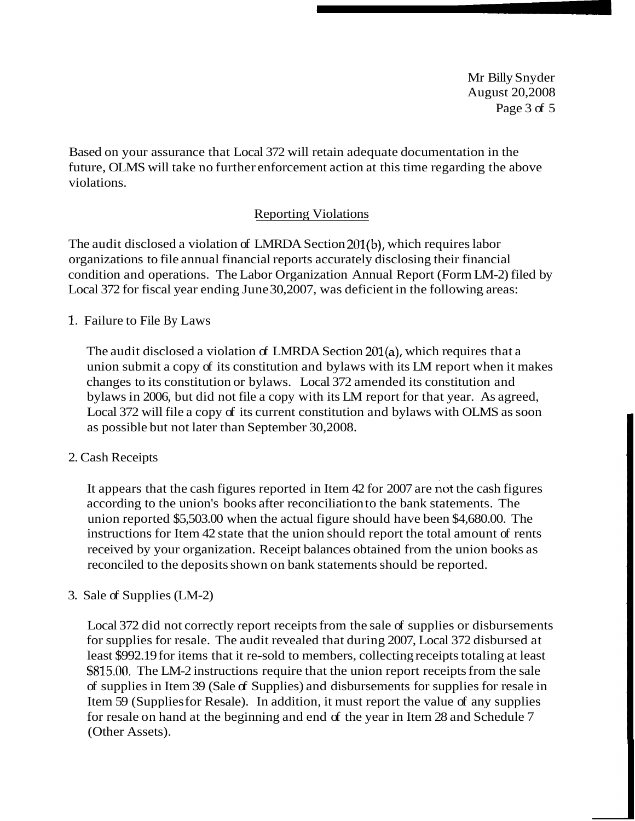Mr Billy Snyder August 20,2008 Page 3 of 5

Based on your assurance that Local 372 will retain adequate documentation in the future, OLMS will take no further enforcement action at this time regarding the above violations.

# **Reporting Violations**

The audit disclosed a violation of LMRDA Section 201(b), which requires labor organizations to file annual financial reports accurately disclosing their financial condition and operations. The Labor Organization Annual Report (Form LM-2) filed by Local 372 for fiscal year ending June 30,2007, was deficient in the following areas:

### 1. Failure to File By Laws

The audit disclosed a violation of LMRDA Section 201(a), which requires that a union submit a copy of its constitution and bylaws with its LM report when it makes changes to its constitution or bylaws. Local 372 amended its constitution and bylaws in 2006, but did not file a copy with its LM report for that year. As agreed, Local 372 will file a copy of its current constitution and bylaws with OLMS as soon as possible but not later than September 30,2008.

#### 2. Cash Receipts

It appears that the cash figures reported in Item 42 for 2007 are not the cash figures according to the union's books after reconciliation to the bank statements. The union reported \$5,503.00 when the actual figure should have been \$4,680.00. The instructions for Item 42 state that the union should report the total amount of rents received by your organization. Receipt balances obtained from the union books as reconciled to the deposits shown on bank statements should be reported.

# 3. Sale of Supplies (LM-2)

Local 372 did not correctly report receipts from the sale of supplies or disbursements for supplies for resale. The audit revealed that during 2007, Local 372 disbursed at least \$992.19 for items that it re-sold to members, collecting receipts totaling at least \$815.00. The LM-2 instructions require that the union report receipts from the sale of supplies in Item 39 (Sale of Supplies) and disbursements for supplies for resale in Item 59 (Supplies for Resale). In addition, it must report the value of any supplies for resale on hand at the beginning and end of the year in Item 28 and Schedule 7 (Other Assets).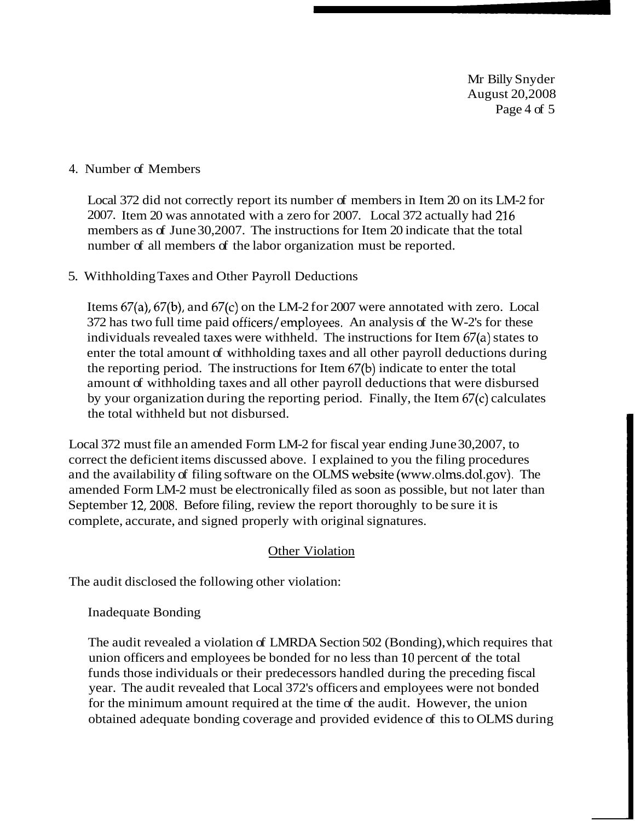Mr Billy Snyder August 20,2008 Page 4 of 5

#### 4. Number of Members

Local 372 did not correctly report its number of members in Item 20 on its LM-2 for 2007. Item 20 was annotated with a zero for 2007. Local 372 actually had 216 members as of June 30,2007. The instructions for Item 20 indicate that the total number of all members of the labor organization must be reported.

#### 5. Withholding Taxes and Other Payroll Deductions

Items 67(a), 67(b), and 67(c) on the LM-2 for 2007 were annotated with zero. Local 372 has two full time paid officers/employees. An analysis of the W-2's for these individuals revealed taxes were withheld. The instructions for Item 67(a) states to enter the total amount of withholding taxes and all other payroll deductions during the reporting period. The instructions for Item 67(b) indicate to enter the total amount of withholding taxes and all other payroll deductions that were disbursed by your organization during the reporting period. Finally, the Item 67(c) calculates the total withheld but not disbursed.

Local 372 must file an amended Form LM-2 for fiscal year ending June 30,2007, to correct the deficient items discussed above. I explained to you the filing procedures and the availability of filing software on the OLMS website (www.olms.dol.gov). The amended Form LM-2 must be electronically filed as soon as possible, but not later than September 12,2008. Before filing, review the report thoroughly to be sure it is complete, accurate, and signed properly with original signatures.

#### Other Violation

The audit disclosed the following other violation:

Inadequate Bonding

The audit revealed a violation of LMRDA Section 502 (Bonding), which requires that union officers and employees be bonded for no less than 10 percent of the total funds those individuals or their predecessors handled during the preceding fiscal year. The audit revealed that Local 372's officers and employees were not bonded for the minimum amount required at the time of the audit. However, the union obtained adequate bonding coverage and provided evidence of this to OLMS during